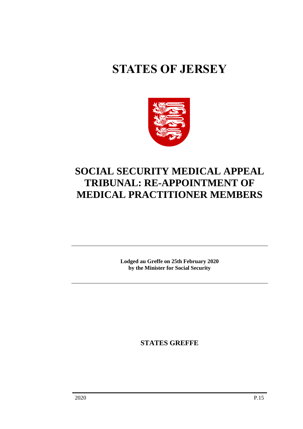# **STATES OF JERSEY**



## **SOCIAL SECURITY MEDICAL APPEAL TRIBUNAL: RE-APPOINTMENT OF MEDICAL PRACTITIONER MEMBERS**

**Lodged au Greffe on 25th February 2020 by the Minister for Social Security**

**STATES GREFFE**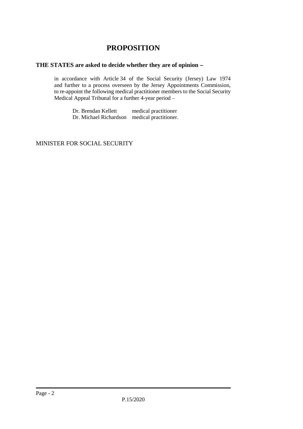### **PROPOSITION**

#### **THE STATES are asked to decide whether they are of opinion** −

in accordance with Article 34 of the Social Security (Jersey) Law 1974 and further to a process overseen by the Jersey Appointments Commission, to re-appoint the following medical practitioner members to the Social Security Medical Appeal Tribunal for a further 4-year period –

> Dr. Brendan Kellett medical practitioner Dr. Michael Richardson medical practitioner.

#### MINISTER FOR SOCIAL SECURITY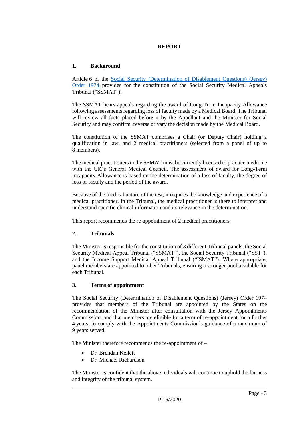#### **REPORT**

#### **1. Background**

Article 6 of the [Social Security \(Determination of Disablement Questions\) \(Jersey\)](https://www.jerseylaw.je/laws/revised/Pages/26.900.30.aspx)  [Order 1974](https://www.jerseylaw.je/laws/revised/Pages/26.900.30.aspx) provides for the constitution of the Social Security Medical Appeals Tribunal ("SSMAT").

The SSMAT hears appeals regarding the award of Long-Term Incapacity Allowance following assessments regarding loss of faculty made by a Medical Board. The Tribunal will review all facts placed before it by the Appellant and the Minister for Social Security and may confirm, reverse or vary the decision made by the Medical Board.

The constitution of the SSMAT comprises a Chair (or Deputy Chair) holding a qualification in law, and 2 medical practitioners (selected from a panel of up to 8 members).

The medical practitioners to the SSMAT must be currently licensed to practice medicine with the UK's General Medical Council. The assessment of award for Long-Term Incapacity Allowance is based on the determination of a loss of faculty, the degree of loss of faculty and the period of the award.

Because of the medical nature of the test, it requires the knowledge and experience of a medical practitioner. In the Tribunal, the medical practitioner is there to interpret and understand specific clinical information and its relevance in the determination.

This report recommends the re-appointment of 2 medical practitioners.

#### **2. Tribunals**

The Minister is responsible for the constitution of 3 different Tribunal panels, the Social Security Medical Appeal Tribunal ("SSMAT"), the Social Security Tribunal ("SST"), and the Income Support Medical Appeal Tribunal ("ISMAT"). Where appropriate, panel members are appointed to other Tribunals, ensuring a stronger pool available for each Tribunal.

#### **3. Terms of appointment**

The Social Security (Determination of Disablement Questions) (Jersey) Order 1974 provides that members of the Tribunal are appointed by the States on the recommendation of the Minister after consultation with the Jersey Appointments Commission, and that members are eligible for a term of re-appointment for a further 4 years, to comply with the Appointments Commission's guidance of a maximum of 9 years served.

The Minister therefore recommends the re-appointment of –

- Dr. Brendan Kellett
- Dr. Michael Richardson.

The Minister is confident that the above individuals will continue to uphold the fairness and integrity of the tribunal system.